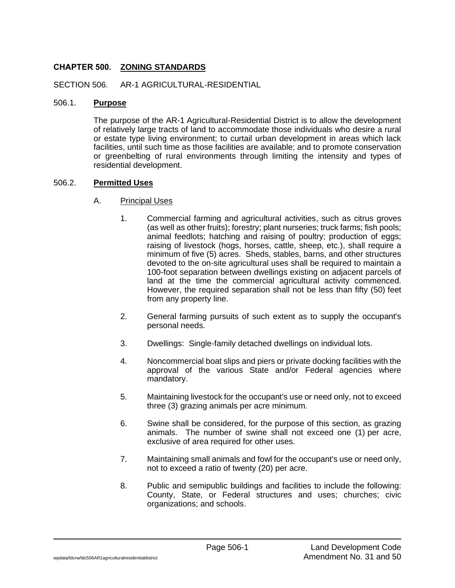## **CHAPTER 500. ZONING STANDARDS**

SECTION 506. AR-1 AGRICULTURAL-RESIDENTIAL

#### 506.1. **Purpose**

The purpose of the AR-1 Agricultural-Residential District is to allow the development of relatively large tracts of land to accommodate those individuals who desire a rural or estate type living environment; to curtail urban development in areas which lack facilities, until such time as those facilities are available; and to promote conservation or greenbelting of rural environments through limiting the intensity and types of residential development.

#### 506.2. **Permitted Uses**

- A. Principal Uses
	- 1. Commercial farming and agricultural activities, such as citrus groves (as well as other fruits); forestry; plant nurseries; truck farms; fish pools; animal feedlots; hatching and raising of poultry; production of eggs; raising of livestock (hogs, horses, cattle, sheep, etc.), shall require a minimum of five (5) acres. Sheds, stables, barns, and other structures devoted to the on-site agricultural uses shall be required to maintain a 100-foot separation between dwellings existing on adjacent parcels of land at the time the commercial agricultural activity commenced. However, the required separation shall not be less than fifty (50) feet from any property line.
	- 2. General farming pursuits of such extent as to supply the occupant's personal needs.
	- 3. Dwellings: Single-family detached dwellings on individual lots.
	- 4. Noncommercial boat slips and piers or private docking facilities with the approval of the various State and/or Federal agencies where mandatory.
	- 5. Maintaining livestock for the occupant's use or need only, not to exceed three (3) grazing animals per acre minimum.
	- 6. Swine shall be considered, for the purpose of this section, as grazing animals. The number of swine shall not exceed one (1) per acre, exclusive of area required for other uses.
	- 7. Maintaining small animals and fowl for the occupant's use or need only, not to exceed a ratio of twenty (20) per acre.
	- 8. Public and semipublic buildings and facilities to include the following: County, State, or Federal structures and uses; churches; civic organizations; and schools.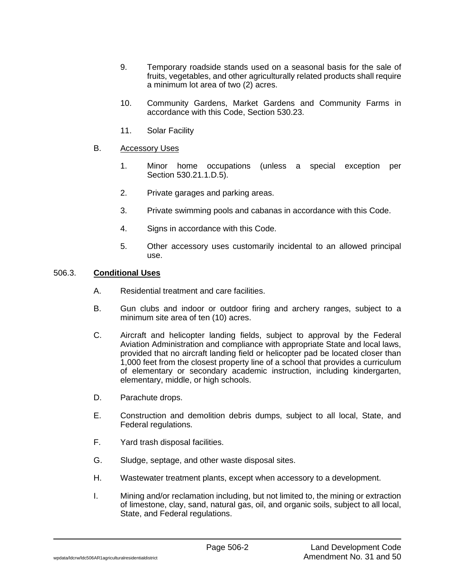- 9. Temporary roadside stands used on a seasonal basis for the sale of fruits, vegetables, and other agriculturally related products shall require a minimum lot area of two (2) acres.
- 10. Community Gardens, Market Gardens and Community Farms in accordance with this Code, Section 530.23.
- 11. Solar Facility

#### B. Accessory Uses

- 1. Minor home occupations (unless a special exception per Section 530.21.1.D.5).
- 2. Private garages and parking areas.
- 3. Private swimming pools and cabanas in accordance with this Code.
- 4. Signs in accordance with this Code.
- 5. Other accessory uses customarily incidental to an allowed principal use.

## 506.3. **Conditional Uses**

- A. Residential treatment and care facilities.
- B. Gun clubs and indoor or outdoor firing and archery ranges, subject to a minimum site area of ten (10) acres.
- C. Aircraft and helicopter landing fields, subject to approval by the Federal Aviation Administration and compliance with appropriate State and local laws, provided that no aircraft landing field or helicopter pad be located closer than 1,000 feet from the closest property line of a school that provides a curriculum of elementary or secondary academic instruction, including kindergarten, elementary, middle, or high schools.
- D. Parachute drops.
- E. Construction and demolition debris dumps, subject to all local, State, and Federal regulations.
- F. Yard trash disposal facilities.
- G. Sludge, septage, and other waste disposal sites.
- H. Wastewater treatment plants, except when accessory to a development.
- I. Mining and/or reclamation including, but not limited to, the mining or extraction of limestone, clay, sand, natural gas, oil, and organic soils, subject to all local, State, and Federal regulations.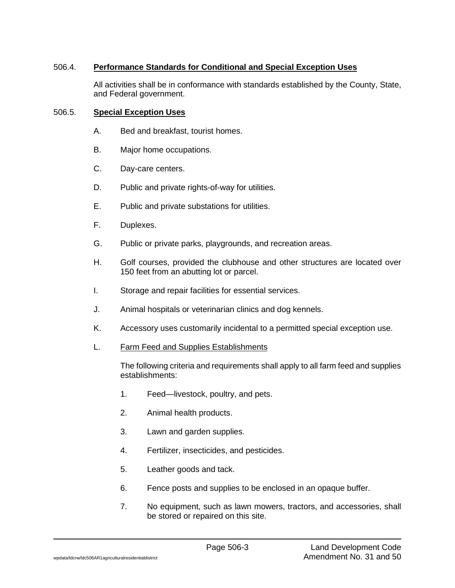# 506.4. **Performance Standards for Conditional and Special Exception Uses**

All activities shall be in conformance with standards established by the County, State, and Federal government.

## 506.5. **Special Exception Uses**

- A. Bed and breakfast, tourist homes.
- B. Major home occupations.
- C. Day-care centers.
- D. Public and private rights-of-way for utilities.
- E. Public and private substations for utilities.
- F. Duplexes.
- G. Public or private parks, playgrounds, and recreation areas.
- H. Golf courses, provided the clubhouse and other structures are located over 150 feet from an abutting lot or parcel.
- I. Storage and repair facilities for essential services.
- J. Animal hospitals or veterinarian clinics and dog kennels.
- K. Accessory uses customarily incidental to a permitted special exception use.
- L. Farm Feed and Supplies Establishments

The following criteria and requirements shall apply to all farm feed and supplies establishments:

- 1. Feed—livestock, poultry, and pets.
- 2. Animal health products.
- 3. Lawn and garden supplies.
- 4. Fertilizer, insecticides, and pesticides.
- 5. Leather goods and tack.
- 6. Fence posts and supplies to be enclosed in an opaque buffer.
- 7. No equipment, such as lawn mowers, tractors, and accessories, shall be stored or repaired on this site.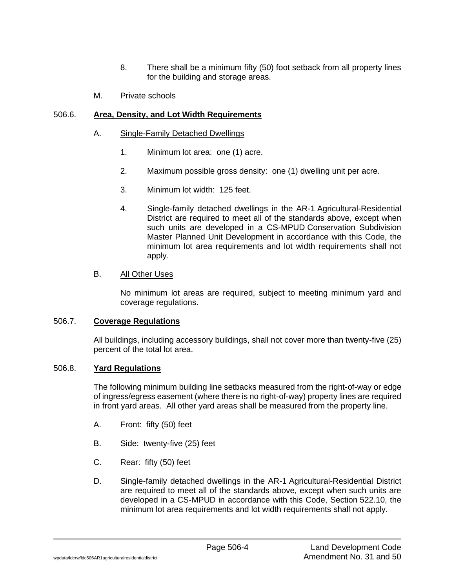- 8. There shall be a minimum fifty (50) foot setback from all property lines for the building and storage areas.
- M. Private schools

## 506.6. **Area, Density, and Lot Width Requirements**

- A. Single-Family Detached Dwellings
	- 1. Minimum lot area: one (1) acre.
	- 2. Maximum possible gross density: one (1) dwelling unit per acre.
	- 3. Minimum lot width: 125 feet.
	- 4. Single-family detached dwellings in the AR-1 Agricultural-Residential District are required to meet all of the standards above, except when such units are developed in a CS-MPUD Conservation Subdivision Master Planned Unit Development in accordance with this Code, the minimum lot area requirements and lot width requirements shall not apply.

## B. All Other Uses

No minimum lot areas are required, subject to meeting minimum yard and coverage regulations.

#### 506.7. **Coverage Regulations**

All buildings, including accessory buildings, shall not cover more than twenty-five (25) percent of the total lot area.

#### 506.8. **Yard Regulations**

The following minimum building line setbacks measured from the right-of-way or edge of ingress/egress easement (where there is no right-of-way) property lines are required in front yard areas. All other yard areas shall be measured from the property line.

- A. Front: fifty (50) feet
- B. Side: twenty-five (25) feet
- C. Rear: fifty (50) feet
- D. Single-family detached dwellings in the AR-1 Agricultural-Residential District are required to meet all of the standards above, except when such units are developed in a CS-MPUD in accordance with this Code, Section 522.10, the minimum lot area requirements and lot width requirements shall not apply.